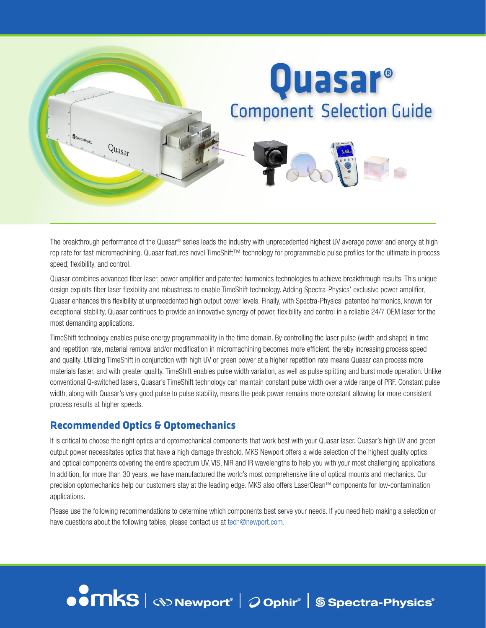

The breakthrough performance of the Quasar® series leads the industry with unprecedented highest UV average power and energy at high rep rate for fast micromachining. Quasar features novel TimeShift™ technology for programmable pulse profiles for the ultimate in process speed, flexibility, and control.

Quasar combines advanced fiber laser, power amplifier and patented harmonics technologies to achieve breakthrough results. This unique design exploits fiber laser flexibility and robustness to enable TimeShift technology. Adding Spectra-Physics' exclusive power amplifier, Quasar enhances this flexibility at unprecedented high output power levels. Finally, with Spectra-Physics' patented harmonics, known for exceptional stability, Quasar continues to provide an innovative synergy of power, flexibility and control in a reliable 24/7 OEM laser for the most demanding applications.

TimeShift technology enables pulse energy programmability in the time domain. By controlling the laser pulse (width and shape) in time and repetition rate, material removal and/or modification in micromachining becomes more efficient, thereby increasing process speed and quality. Utilizing TimeShift in conjunction with high UV or green power at a higher repetition rate means Quasar can process more materials faster, and with greater quality. TimeShift enables pulse width variation, as well as pulse splitting and burst mode operation. Unlike conventional Q-switched lasers, Quasar's TimeShift technology can maintain constant pulse width over a wide range of PRF. Constant pulse width, along with Quasar's very good pulse to pulse stability, means the peak power remains more constant allowing for more consistent process results at higher speeds.

### **Recommended Optics & Optomechanics**

It is critical to choose the right optics and optomechanical components that work best with your Quasar laser. Quasar's high UV and green output power necessitates optics that have a high damage threshold. MKS Newport offers a wide selection of the highest quality optics and optical components covering the entire spectrum UV, VIS, NIR and IR wavelengths to help you with your most challenging applications. In addition, for more than 30 years, we have manufactured the world's most comprehensive line of optical mounts and mechanics. Our precision optomechanics help our customers stay at the leading edge. MKS also offers LaserClean™ components for low-contamination applications.

Please use the following recommendations to determine which components best serve your needs. If you need help making a selection or have questions about the following tables, please contact us at tech@newport.com.

#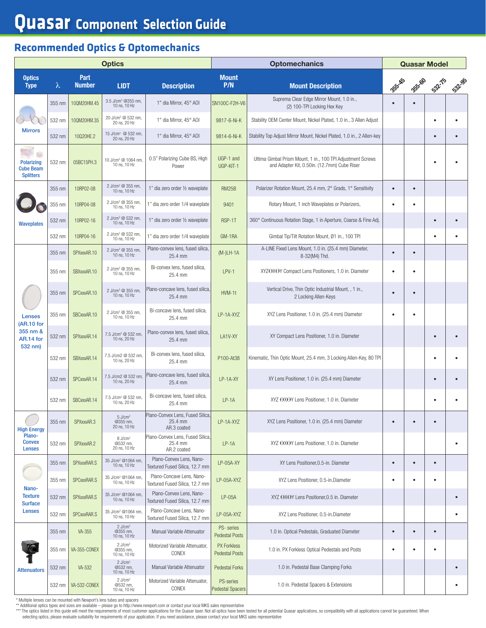## **Quasar Component Selection Guide**

## **Recommended Optics & Optomechanics**

| <b>Optics</b>                                                   |                      |                       |                                                   |                                                             | <b>Optomechanics</b>                        |                                                                                                             |           | <b>Quasar Model</b> |           |        |  |
|-----------------------------------------------------------------|----------------------|-----------------------|---------------------------------------------------|-------------------------------------------------------------|---------------------------------------------|-------------------------------------------------------------------------------------------------------------|-----------|---------------------|-----------|--------|--|
| <b>Optics</b><br><b>Type</b>                                    | λ                    | Part<br><b>Number</b> | <b>LIDT</b>                                       | <b>Description</b>                                          | <b>Mount</b><br>P/N                         | <b>Mount Description</b>                                                                                    | 353-45    | 355-60              | 532.75    | 532.95 |  |
|                                                                 | 355 nm               | 10QM20HM.45           | 3.5 J/cm <sup>2</sup> @355 nm.<br>10 ns, 10 Hz    | 1" dia Mirror, 45° AOI                                      | SN100C-F2H-V6                               | Suprema Clear Edge Mirror Mount, 1.0 in.,<br>(2) 100-TPI Locking Hex Key                                    | $\bullet$ |                     |           |        |  |
| <b>Mirrors</b>                                                  | 532 nm               | 10QM20HM.35           | 20 J/cm <sup>2</sup> @ 532 nm,<br>20 ns, 20 Hz    | 1" dia Mirror, 45° AOI                                      | 9817-6-Ni-K                                 | Stability OEM Center Mount, Nickel Plated, 1.0 in., 3 Allen Adjust                                          |           |                     |           |        |  |
|                                                                 | 532 nm               | 10020HE.2             | 15 J/cm <sup>2</sup> @ 532 nm,<br>20 ns. 20 Hz    | 1" dia Mirror, 45° AOI                                      | 9814-6-Ni-K                                 | Stability Top Adjust Mirror Mount, Nickel Plated, 1.0 in., 2 Allen-key                                      |           |                     | $\bullet$ |        |  |
| <b>Polarizing</b><br><b>Cube Beam</b><br><b>Splitters</b>       | 532 nm               | 05BC15PH.3            | 10 J/cm <sup>2</sup> @ 1064 nm.<br>10 ns, 10 Hz   | 0.5" Polarizing Cube BS, High<br>Power                      | UGP-1 and<br>UGP-KIT-1                      | Ultima Gimbal Prism Mount, 1 in., 100 TPI Adjustment Screws<br>and Adapter Kit, 0.50in. (12.7mm) Cube Riser |           |                     | ٠         |        |  |
|                                                                 | 355 nm               | 10RP02-08             | 2 J/cm <sup>2</sup> @ 355 nm,<br>10 ns, 10 Hz     | 1" dia zero order 1⁄2 waveplate                             | <b>RM25B</b>                                | Polarizer Rotation Mount, 25.4 mm, 2° Grads, 1° Sensitivity                                                 | $\bullet$ | $\bullet$           |           |        |  |
|                                                                 | 355 nm               | 10RP04-08             | 2 J/cm <sup>2</sup> @ 355 nm,<br>10 ns, 10 Hz     | 1" dia zero order 1/4 waveplate                             | 9401                                        | Rotary Mount, 1 inch Waveplates or Polarizers,                                                              | $\bullet$ |                     |           |        |  |
| <b>Waveplates</b>                                               | 532 nm               | 10RP02-16             | 2 J/cm <sup>2</sup> @ 532 nm,<br>10 ns. 10 Hz     | 1" dia zero order 1/2 waveplate                             | RSP-1T                                      | 360° Continuous Rotation Stage, 1 in Aperture, Coarse & Fine Adj.                                           |           |                     | $\bullet$ |        |  |
|                                                                 | 532 nm               | 10RP04-16             | 2 J/cm <sup>2</sup> @ 532 nm,<br>10 ns, 10 Hz     | 1" dia zero order 1/4 waveplate                             | GM-1RA                                      | Gimbal Tip/Tilt Rotation Mount, Ø1 in., 100 TPI                                                             |           |                     |           |        |  |
| <b>Lenses</b><br>(AR.10 for<br>355 nm &<br>AR.14 for<br>532 nm) | 355 nm               | SPXxxxAR.10           | 2 J/cm <sup>2</sup> @ 355 nm,<br>10 ns. 10 Hz     | Plano-convex lens, fused silica,<br>25.4 mm                 | $(M-)LH-1A$                                 | A-LINE Fixed Lens Mount, 1.0 in. (25.4 mm) Diameter,<br>8-32(M4) Thd.                                       | $\bullet$ | $\bullet$           |           |        |  |
|                                                                 | 355 nm               | SBXxxxAR.10           | 2 J/cm <sup>2</sup> @ 355 nm,<br>10 ns, 10 Hz     | Bi-convex lens, fused silica,<br>25.4 mm                    | LPV-1                                       | XYZOXOY Compact Lens Positioners, 1.0 in. Diameter                                                          | $\bullet$ | $\bullet$           |           |        |  |
|                                                                 | 355 nm               | SPCxxxAR.10           | 2 J/cm <sup>2</sup> @ 355 nm,<br>10 ns, 10 Hz     | Plano-concave lens, fused silica,<br>25.4 mm                | HVM-1t                                      | Vertical Drive, Thin Optic Industrial Mount, , 1 in.,<br>2 Locking Allen-Keys                               | $\bullet$ | $\bullet$           |           |        |  |
|                                                                 | 355 nm               | SBCxxxAR.10           | 2 J/cm <sup>2</sup> @ 355 nm,<br>10 ns, 10 Hz     | Bi-concave lens, fused silica,<br>25.4 mm                   | LP-1A-XYZ                                   | XYZ Lens Positioner, 1.0 in. (25.4 mm) Diameter                                                             | $\bullet$ | $\bullet$           |           |        |  |
|                                                                 | 532 nm               | SPXxxxAR.14           | 7.5 J/cm <sup>2</sup> @ 532 nm,<br>10 ns, 20 Hz   | Plano-convex lens, fused silica,<br>25.4 mm                 | LA1V-XY                                     | XY Compact Lens Positioner, 1.0 in. Diameter                                                                |           |                     |           |        |  |
|                                                                 | 532 nm               | SBXxxxAR.14           | 7.5 J/cm2 @ 532 nm,<br>10 ns, 20 Hz               | Bi-convex lens, fused silica,<br>25.4 mm                    | P100-At38                                   | Kinematic, Thin Optic Mount, 25.4 mm, 3 Locking Allen-Key, 80 TPI                                           |           |                     |           |        |  |
|                                                                 | 532 nm               | SPCxxxAR.14           | 7.5 J/cm2 @ 532 nm,<br>10 ns, 20 Hz               | Plano-concave lens, fused silica,<br>25.4 mm                | LP-1A-XY                                    | XY Lens Positioner, 1.0 in. (25.4 mm) Diameter                                                              |           |                     |           |        |  |
|                                                                 | 532 nm               | SBCxxxAR.14           | 7.5 J/cm <sup>2</sup> @ 532 nm,<br>10 ns, 20 Hz   | Bi-concave lens, fused silica,<br>25.4 mm                   | $LP-1A$                                     | XYZ OXOY Lens Positioner, 1.0 in. Diameter                                                                  |           |                     | $\bullet$ |        |  |
| <b>High Energy</b>                                              | 355 nm<br>SPXxxxAR.3 |                       | $5$ J/cm <sup>2</sup><br>@355 nm,<br>20 ns, 10 Hz | Plano-Convex Lens, Fused Silica,<br>25.4 mm<br>AR.3 coated  | LP-1A-XYZ                                   | XYZ Lens Positioner, 1.0 in. (25.4 mm) Diameter                                                             | $\bullet$ |                     |           |        |  |
| Plano-<br><b>Convex</b><br><b>Lenses</b>                        | 532 nm               | SPXxxxAR.2            | $8$ J/cm <sup>2</sup><br>@532 nm,<br>20 ns, 10 Hz | Plano-Convex Lens, Fused Silica,<br>25.4 mm<br>AR.2 coated  | $LP-1A$                                     | XYZ OXOY Lens Positioner, 1.0 in. Diameter                                                                  |           |                     |           |        |  |
| Nano-<br><b>Texture</b><br><b>Surface</b><br><b>Lenses</b>      | 355 nm               | SPXxxxRAR.S           | 35 J/cm <sup>2</sup> @1064 nm,<br>10 ns, 10 Hz    | Plano-Convex Lens, Nano-<br>Textured Fused Silica, 12.7 mm  | LP-05A-XY                                   | XY Lens Positioner.0.5-in. Diameter                                                                         | $\bullet$ | $\bullet$           | $\bullet$ |        |  |
|                                                                 | 355 nm               | SPCxxxRAR.S           | 35 J/cm <sup>2</sup> @1064 nm,<br>10 ns, 10 Hz    | Plano-Concave Lens, Nano-<br>Textured Fused Silica, 12.7 mm | LP-05A-XYZ                                  | XYZ Lens Positioner, 0.5-in.Diameter                                                                        | ٠         | $\bullet$           | $\bullet$ |        |  |
|                                                                 | 532 nm               | SPXxxxRAR.S           | 35 J/cm <sup>2</sup> @1064 nm,<br>10 ns, 10 Hz    | Plano-Convex Lens, Nano-<br>Textured Fused Silica, 12.7 mm  | $LP-05A$                                    | XYZ OXOY Lens Positioner, 0.5 in. Diameter                                                                  |           |                     |           |        |  |
|                                                                 | 532 nm               | SPCxxxRAR.S           | 35 J/cm <sup>2</sup> @1064 nm,<br>10 ns, 10 Hz    | Plano-Concave Lens, Nano-<br>Textured Fused Silica, 12.7 mm | LP-05A-XYZ                                  | XYZ Lens Positioner, 0.5-in.Diameter                                                                        |           |                     |           |        |  |
|                                                                 | 355 nm               | VA-355                | $2$ J/cm <sup>2</sup><br>@355 nm,<br>10 ns, 10 Hz | Manual Variable Attenuator                                  | PS- series<br><b>Pedestal Posts</b>         | 1.0 in. Optical Pedestals, Graduated Diameter                                                               | $\bullet$ | $\bullet$           | $\bullet$ |        |  |
| <b>Attenuators</b>                                              | 355 nm               | VA-355-CONEX          | $2$ J/cm <sup>2</sup><br>@355 nm,<br>10 ns, 10 Hz | Motorized Variable Attenuator,<br>CONEX                     | <b>PX Forkless</b><br><b>Pedestal Posts</b> | 1.0 in. PX Forkless Optical Pedestals and Posts                                                             | ٠         |                     | ٠         |        |  |
|                                                                 | 532 nm               | VA-532                | $2$ J/cm <sup>2</sup><br>@532 nm,<br>10 ns, 10 Hz | Manual Variable Attenuator                                  | <b>Pedestal Forks</b>                       | 1.0 in. Pedestal Base Clamping Forks                                                                        |           |                     |           |        |  |
|                                                                 | 532 nm               | VA-532-CONEX          | $2$ J/cm <sup>2</sup><br>@532 nm,<br>10 ns, 10 Hz | Motorized Variable Attenuator,<br>CONEX                     | PS-series<br><b>Pedestal Spacers</b>        | 1.0 in. Pedestal Spacers & Extensions                                                                       |           |                     |           |        |  |

\* Multiple lenses can be mounted with Newport's lens tubes and spacers<br>\*\* Additional optics yere are available – please go to http://www.newport.com or contact your local MKS sales representative<br>\*\* The optics listed in th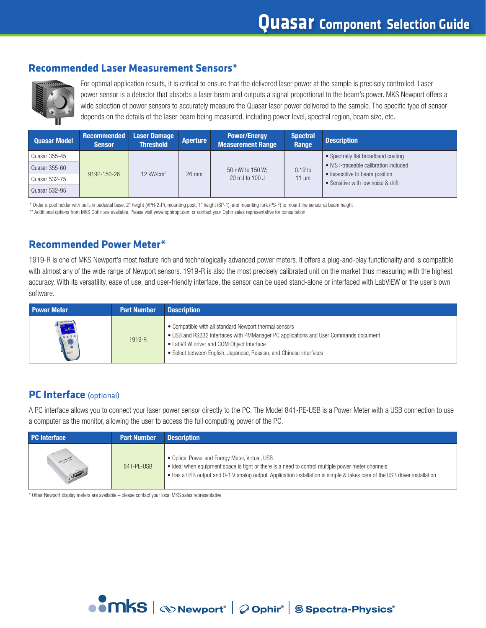#### **Recommended Laser Measurement Sensors\***



For optimal application results, it is critical to ensure that the delivered laser power at the sample is precisely controlled. Laser power sensor is a detector that absorbs a laser beam and outputs a signal proportional to the beam's power. MKS Newport offers a wide selection of power sensors to accurately measure the Quasar laser power delivered to the sample. The specific type of sensor depends on the details of the laser beam being measured, including power level, spectral region, beam size, etc.

| <b>Quasar Model</b> | <b>Recommended</b><br><b>Sensor</b> | <b>Laser Damage</b><br><b>Threshold</b> | <b>Aperture</b> | <b>Power/Energy</b><br><b>Measurement Range</b> | <b>Spectral</b><br>Range | <b>Description</b>                                                   |
|---------------------|-------------------------------------|-----------------------------------------|-----------------|-------------------------------------------------|--------------------------|----------------------------------------------------------------------|
| Quasar 355-45       | 919P-150-26                         | $12$ kW/cm <sup>2</sup>                 | 26 mm           | 50 mW to 150 W;<br>20 mJ to 100 J               | $0.19$ to<br>11 $\mu$ m  | • Spectrally flat broadband coating                                  |
| Quasar 355-60       |                                     |                                         |                 |                                                 |                          | • NIST-traceable calibration included                                |
| Quasar 532-75       |                                     |                                         |                 |                                                 |                          | • Insensitive to beam position<br>• Sensitive with low noise & drift |
| Quasar 532-95       |                                     |                                         |                 |                                                 |                          |                                                                      |

\* Order a post holder with built-in pedestal base, 2" height (VPH-2-P), mounting post, 1" height (SP-1), and mounting fork (PS-F) to mount the sensor at beam height

\*\* Additional options from MKS Ophir are available. Please visit www.ophiropt.com or contact your Ophir sales representative for consultation

#### **Recommended Power Meter\***

1919-R is one of MKS Newport's most feature rich and technologically advanced power meters. It offers a plug-and-play functionality and is compatible with almost any of the wide range of Newport sensors. 1919-R is also the most precisely calibrated unit on the market thus measuring with the highest accuracy. With its versatility, ease of use, and user-friendly interface, the sensor can be used stand-alone or interfaced with LabVIEW or the user's own software.

| <b>Power Meter</b>           | <b>Part Number</b> | <b>Description</b>                                                                                                                                                                                                                                                 |
|------------------------------|--------------------|--------------------------------------------------------------------------------------------------------------------------------------------------------------------------------------------------------------------------------------------------------------------|
| OD Newport<br>3.49<br>$\sim$ | 1919-R             | • Compatible with all standard Newport thermal sensors<br>• USB and RS232 interfaces with PMManager PC applications and User Commands document<br>• LabVIEW driver and COM Object Interface<br>• Select between English, Japanese, Russian, and Chinese interfaces |

#### **PC Interface** (optional)

A PC interface allows you to connect your laser power sensor directly to the PC. The Model 841-PE-USB is a Power Meter with a USB connection to use a computer as the monitor, allowing the user to access the full computing power of the PC.

| <b>PC</b> Interface<br><b>Part Number</b> |            | <b>Description</b>                                                                                                                                                                                                                                                                |  |  |  |  |
|-------------------------------------------|------------|-----------------------------------------------------------------------------------------------------------------------------------------------------------------------------------------------------------------------------------------------------------------------------------|--|--|--|--|
| $\sqrt{2}$                                | 841-PE-USB | • Optical Power and Energy Meter, Virtual, USB<br>• Ideal when equipment space is tight or there is a need to control multiple power meter channels<br>• Has a USB output and 0-1 V analog output. Application installation is simple & takes care of the USB driver installation |  |  |  |  |

\* Other Newport display meters are available – please contact your local MKS sales representative